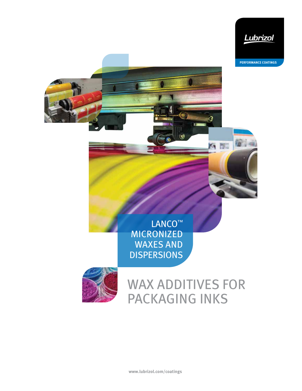

**PERFORMANCE COATINGS**

徑

有限

LANCO™ MICRONIZED WAXES AND DISPERSIONS



# WAX ADDITIVES FOR PACKAGING INKS

),,,,,,,,,,,,,,,,,,,,,,,,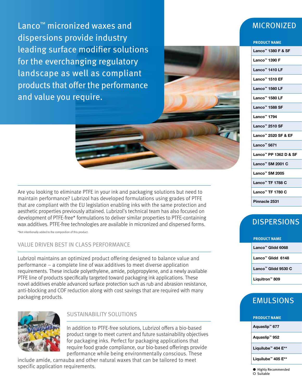Lanco<sup>™</sup> micronized waxes and dispersions provide industry leading surface modifier solutions for the everchanging regulatory landscape as well as compliant products that offer the performance and value you require.

Are you looking to eliminate PTFE in your ink and packaging solutions but need to maintain performance? Lubrizol has developed formulations using grades of PTFE that are compliant with the EU legislation enabling inks with the same protection and aesthetic properties previously attained. Lubrizol's technical team has also focused on development of PTFE-free\* formulations to deliver similar properties to PTFE-containing wax additives. PTFE-free technologies are available in micronized and dispersed forms.

\*Not intentionally added to the composition of this product.

### VALUE DRIVEN BEST IN CLASS PERFORMANCE

Lubrizol maintains an optimized product offering designed to balance value and performance – a complete line of wax additives to meet diverse application requirements. These include polyethylene, amide, polypropylene, and a newly available PTFE line of products specifically targeted toward packaging ink applications. These novel additives enable advanced surface protection such as rub and abrasion resistance, anti-blocking and COF reduction along with cost savings that are required with many packaging products.



### SUSTAINABILITY SOLUTIONS

In addition to PTFE-free solutions, Lubrizol offers a bio-based product range to meet current and future sustainability objectives for packaging inks. Perfect for packaging applications that require food grade compliance, our bio-based offerings provide performance while being environmentally conscious. These

include amide, carnauba and other natural waxes that can be tailored to meet specific application requirements.

### MICRONIZED

| <b>PRODUCT NAME</b>                       |
|-------------------------------------------|
| Lanco <sup>™</sup> 1380 F & SF            |
| Lanco <sup>™</sup> 1390 F                 |
| Lanco <sup>™</sup> 1410 LF                |
|                                           |
| Lanco <sup>™</sup> 1510 EF                |
| Lanco <sup>™</sup> 1560 LF                |
| Lanco <sup>™</sup> 1580 LF                |
| Lanco <sup>™</sup> 1588 SF                |
| Lanco <sup>™</sup> 1794                   |
|                                           |
| Lanco <sup>™</sup> 2510 SF                |
| Lanco <sup>™</sup> 2520 SF & EF           |
| Lanco <sup>m</sup> 5671                   |
| Lanco <sup>™</sup> PP 1362 D & SF         |
| Lanco <sup>™</sup> SM 2001 C              |
| Lanco <sup>™</sup> SM 2005                |
|                                           |
| Lanco <sup>™</sup> TF 1788 C              |
| Lanco <sup><math>M</math></sup> TF 1780 C |
| Pinnacle 2531                             |

## **DISPERSIONS**

| <b>PRODUCT NAME</b>             |  |  |  |
|---------------------------------|--|--|--|
| Lanco <sup>™</sup> Glidd 6068   |  |  |  |
| Lanco <sup>™</sup> Glidd 6148   |  |  |  |
| Lanco <sup>™</sup> Glidd 9530 C |  |  |  |
| Liquitron <sup>™</sup> 809      |  |  |  |

### EMULSIONS

**PRODUCT NAME** 

Aquaslip™ 677 Mater beading.

Aquaslip™ 952

Liquilube<sup>™</sup> 404 E<sup>\*\*</sup>

Liquilube<sup>™</sup> 405 E\*\*

● Highly Recommended ○ Suitable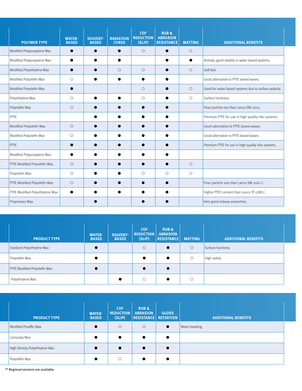|                | <b>POLYMER TYPE</b>            | <b>WATER-</b><br><b>BASED</b> | <b>SOLVENT-</b><br><b>BASED</b> | <b>RADIATION</b><br><b>CURED</b> | <b>COF</b><br><b>REDUCTION</b><br>(SLIP) | <b>RUB &amp;</b><br><b>ABRASION</b><br><b>RESISTANCE</b> | <b>MATTING</b> | <b>ADDITIONAL BENEFITS</b>                            |
|----------------|--------------------------------|-------------------------------|---------------------------------|----------------------------------|------------------------------------------|----------------------------------------------------------|----------------|-------------------------------------------------------|
|                | Modified Polypropylene Wax     | $\bullet$                     |                                 | $\bullet$                        | $\circ$                                  |                                                          | $\circ$        |                                                       |
|                | Modified Polypropylene Wax     |                               |                                 | $\bullet$                        |                                          |                                                          | $\bullet$      | Antislip, good stablity in water based systems.       |
|                | Modified Polyethylene Wax      | $\bullet$                     |                                 | $\circ$                          | $\circ$                                  |                                                          | $\circ$        | Soft feel.                                            |
|                | Modified Polyolefin Wax        | $\circ$                       | $\bullet$                       | $\bullet$                        | $\bullet$                                | 0                                                        |                | Good alternative to PTFE based waxes.                 |
|                | Modified Polyolefin Wax        | $\bullet$                     |                                 |                                  | $\circ$                                  |                                                          | $\circ$        | Good for water based systems due to surface polarity. |
|                | Polyethylene Wax               | $\circ$                       |                                 | $\bullet$                        | $\circ$                                  |                                                          | $\circ$        | Surface hardness.                                     |
| Polyolefin Wax |                                | $\circ$                       |                                 |                                  | ●                                        |                                                          |                | Finer particle size than Lanco SM 2005.               |
| <b>PTFE</b>    |                                |                               |                                 |                                  |                                          |                                                          |                | Premium PTFE for use in high quality inks systems.    |
|                | Modified Polyolefin Wax        | $\circ$                       |                                 |                                  |                                          | C                                                        |                | Good alternative to PTFE based waxes.                 |
|                | Modified Polyolefin Wax        | $\circ$                       |                                 |                                  |                                          |                                                          |                | Good alternative to PTFE based waxes.                 |
| <b>PTFE</b>    |                                | $\bullet$                     |                                 |                                  |                                          |                                                          |                | Premium PTFE for use in high quality inks systems.    |
|                | Modified Polypropylene Wax     |                               |                                 |                                  |                                          |                                                          |                |                                                       |
|                | PTFE Modified Polyolefin Wax   | $\circ$                       |                                 |                                  |                                          |                                                          | $\circ$        |                                                       |
| Polyolefin Wax |                                | $\circ$                       | ●                               | $\bullet$                        | $\circ$                                  | $\circ$                                                  | $\circ$        |                                                       |
|                | PTFE Modified Polyolefin Wax   | $\circ$                       |                                 |                                  |                                          | $\bullet$                                                |                | Finer particle size than Lanco SM 2001 C.             |
|                | PTFE Modified Polyethylene Wax | $\bullet$                     |                                 | $\bullet$                        | ●                                        | 0                                                        |                | Higher PTFE content than Lanco TF 1788 C.             |
|                | Proprietary Wax                |                               |                                 |                                  |                                          |                                                          |                | Very good release properties.                         |
|                |                                |                               |                                 |                                  |                                          |                                                          |                |                                                       |

| <b>PRODUCT TYPE</b>          | <b>WATER-</b><br><b>BASED</b> | <b>SOLVENT-</b><br><b>BASED</b> | <b>COF</b><br><b>REDUCTION</b><br>(SLIP) | <b>RUB&amp;</b><br><b>ABRASION</b><br><b>RESISTANCE</b> | <b>MATTING</b> | <b>ADDITIONAL BENEFITS</b> |
|------------------------------|-------------------------------|---------------------------------|------------------------------------------|---------------------------------------------------------|----------------|----------------------------|
| Oxidized Polyethylene Wax    |                               |                                 | $\circ$                                  | $\bullet$                                               | $\circ$        | Surface hardness.          |
| Polyolefin Wax               |                               |                                 |                                          | $\bullet$                                               | $\circ$        | High solids.               |
| PTFE Modified Polyolefin Wax |                               |                                 |                                          | $\bullet$                                               |                |                            |
| Polyethylene Wax             |                               |                                 | $\circ$                                  |                                                         | $\circ$        |                            |

| <b>PRODUCT TYPE</b>           | <b>WATER-</b><br><b>BASED</b> | <b>COF</b><br><b>REDUCTION</b><br>(SLIP) | <b>RUB &amp;</b><br><b>ABRASION</b><br><b>RESISTANCE RETENTION</b> | <b>GLOSS</b> | <b>ADDITIONAL BENEFITS</b> |  |
|-------------------------------|-------------------------------|------------------------------------------|--------------------------------------------------------------------|--------------|----------------------------|--|
| Modified Paraffin Wax         |                               | $\circ$                                  | $\circ$                                                            | $\bullet$    | Water beading.             |  |
| Carnauba Wax                  |                               | $\bullet$                                |                                                                    |              |                            |  |
| High Density Polyethylene Wax |                               | $\bullet$                                |                                                                    |              |                            |  |
| Polyolefin Wax                |                               | $\circ$                                  |                                                                    |              |                            |  |

 $^{\star\star}$  Regional versions are available